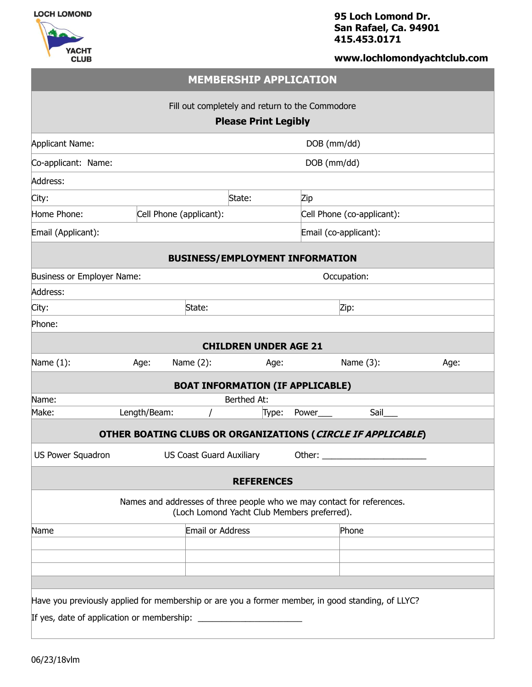



**95 Loch Lomond Dr. San Rafael, Ca. 94901 415.453.0171**

## **www.lochlomondyachtclub.com**

| <b>MEMBERSHIP APPLICATION</b>                                                                                         |              |                                 |                    |             |                                                             |      |  |  |  |
|-----------------------------------------------------------------------------------------------------------------------|--------------|---------------------------------|--------------------|-------------|-------------------------------------------------------------|------|--|--|--|
| Fill out completely and return to the Commodore<br><b>Please Print Legibly</b>                                        |              |                                 |                    |             |                                                             |      |  |  |  |
| Applicant Name:                                                                                                       | DOB (mm/dd)  |                                 |                    |             |                                                             |      |  |  |  |
| Co-applicant: Name:                                                                                                   | DOB (mm/dd)  |                                 |                    |             |                                                             |      |  |  |  |
| Address:                                                                                                              |              |                                 |                    |             |                                                             |      |  |  |  |
| City:                                                                                                                 |              |                                 | State:             | Zip         |                                                             |      |  |  |  |
| Home Phone:                                                                                                           |              | Cell Phone (applicant):         |                    |             | Cell Phone (co-applicant):                                  |      |  |  |  |
| Email (Applicant):                                                                                                    |              |                                 |                    |             | Email (co-applicant):                                       |      |  |  |  |
| <b>BUSINESS/EMPLOYMENT INFORMATION</b>                                                                                |              |                                 |                    |             |                                                             |      |  |  |  |
| Business or Employer Name:                                                                                            |              |                                 |                    |             | Occupation:                                                 |      |  |  |  |
| Address:                                                                                                              |              |                                 |                    |             |                                                             |      |  |  |  |
| City:                                                                                                                 | State:       |                                 |                    |             | Zip:                                                        |      |  |  |  |
| Phone:                                                                                                                |              |                                 |                    |             |                                                             |      |  |  |  |
| <b>CHILDREN UNDER AGE 21</b>                                                                                          |              |                                 |                    |             |                                                             |      |  |  |  |
| Name $(1)$ :                                                                                                          | Age:         | Name $(2)$ :                    | Age:               |             | Name (3):                                                   | Age: |  |  |  |
| <b>BOAT INFORMATION (IF APPLICABLE)</b>                                                                               |              |                                 |                    |             |                                                             |      |  |  |  |
| Name:                                                                                                                 |              |                                 | <b>Berthed At:</b> |             |                                                             |      |  |  |  |
| Make:                                                                                                                 | Length/Beam: |                                 | Type:              | Power       | Sail                                                        |      |  |  |  |
|                                                                                                                       |              |                                 |                    |             | OTHER BOATING CLUBS OR ORGANIZATIONS (CIRCLE IF APPLICABLE) |      |  |  |  |
| US Power Squadron                                                                                                     |              | <b>US Coast Guard Auxiliary</b> |                    | Other: $\_$ |                                                             |      |  |  |  |
| <b>REFERENCES</b>                                                                                                     |              |                                 |                    |             |                                                             |      |  |  |  |
| Names and addresses of three people who we may contact for references.<br>(Loch Lomond Yacht Club Members preferred). |              |                                 |                    |             |                                                             |      |  |  |  |
| Name                                                                                                                  |              | Email or Address                |                    |             | Phone                                                       |      |  |  |  |
|                                                                                                                       |              |                                 |                    |             |                                                             |      |  |  |  |
|                                                                                                                       |              |                                 |                    |             |                                                             |      |  |  |  |
|                                                                                                                       |              |                                 |                    |             |                                                             |      |  |  |  |
| Have you previously applied for membership or are you a former member, in good standing, of LLYC?                     |              |                                 |                    |             |                                                             |      |  |  |  |